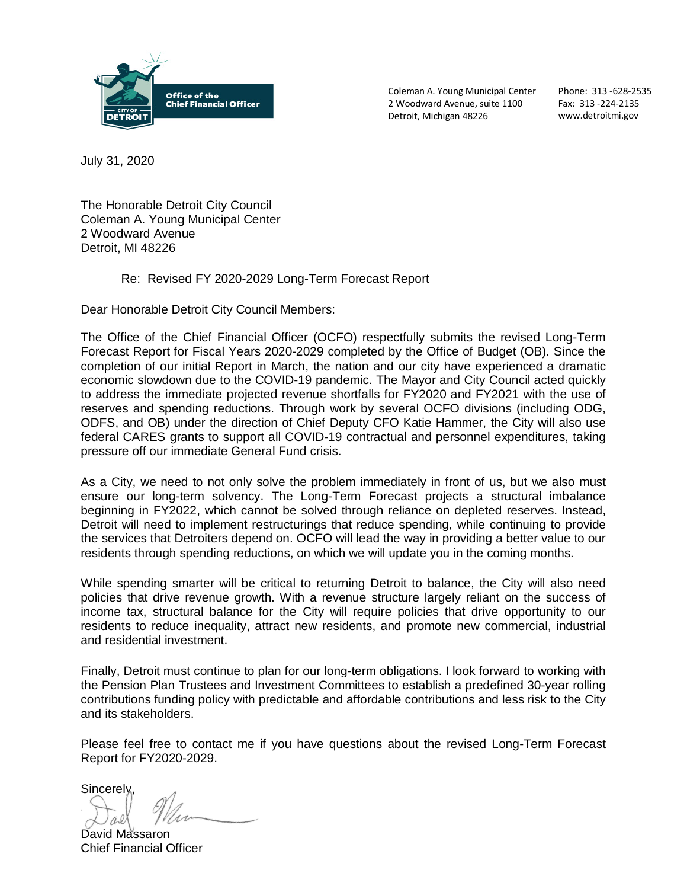

Coleman A. Young Municipal Center 2 Woodward Avenue, suite 1100 Detroit, Michigan 48226

Phone: 313 -628-2535 Fax: 313 -224-2135 www.detroitmi.gov

July 31, 2020

The Honorable Detroit City Council Coleman A. Young Municipal Center 2 Woodward Avenue Detroit, MI 48226

#### Re: Revised FY 2020-2029 Long-Term Forecast Report

Dear Honorable Detroit City Council Members:

The Office of the Chief Financial Officer (OCFO) respectfully submits the revised Long-Term Forecast Report for Fiscal Years 2020-2029 completed by the Office of Budget (OB). Since the completion of our initial Report in March, the nation and our city have experienced a dramatic economic slowdown due to the COVID-19 pandemic. The Mayor and City Council acted quickly to address the immediate projected revenue shortfalls for FY2020 and FY2021 with the use of reserves and spending reductions. Through work by several OCFO divisions (including ODG, ODFS, and OB) under the direction of Chief Deputy CFO Katie Hammer, the City will also use federal CARES grants to support all COVID-19 contractual and personnel expenditures, taking pressure off our immediate General Fund crisis.

As a City, we need to not only solve the problem immediately in front of us, but we also must ensure our long-term solvency. The Long-Term Forecast projects a structural imbalance beginning in FY2022, which cannot be solved through reliance on depleted reserves. Instead, Detroit will need to implement restructurings that reduce spending, while continuing to provide the services that Detroiters depend on. OCFO will lead the way in providing a better value to our residents through spending reductions, on which we will update you in the coming months.

While spending smarter will be critical to returning Detroit to balance, the City will also need policies that drive revenue growth. With a revenue structure largely reliant on the success of income tax, structural balance for the City will require policies that drive opportunity to our residents to reduce inequality, attract new residents, and promote new commercial, industrial and residential investment.

Finally, Detroit must continue to plan for our long-term obligations. I look forward to working with the Pension Plan Trustees and Investment Committees to establish a predefined 30-year rolling contributions funding policy with predictable and affordable contributions and less risk to the City and its stakeholders.

Please feel free to contact me if you have questions about the revised Long-Term Forecast Report for FY2020-2029.

**Sincerely** 

David Massaron Chief Financial Officer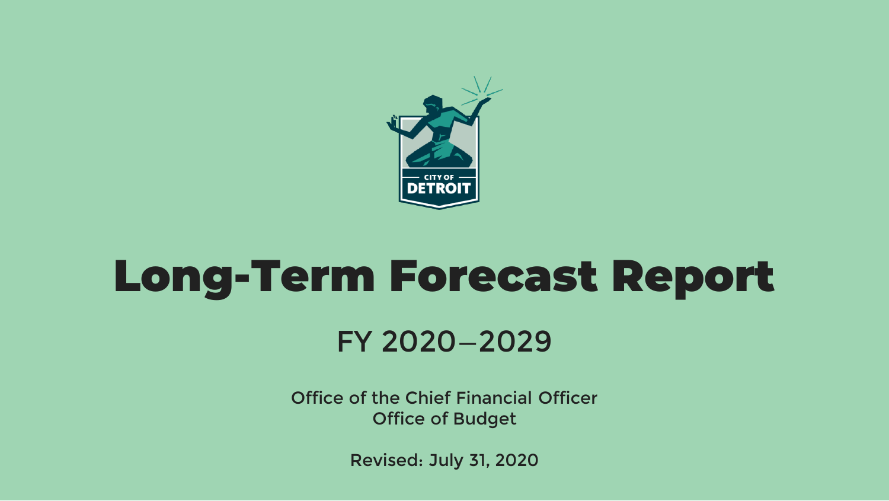

# Long-Term Forecast Report FY 2020—2029

Office of the Chief Financial Officer Office of Budget

Revised: July 31, 2020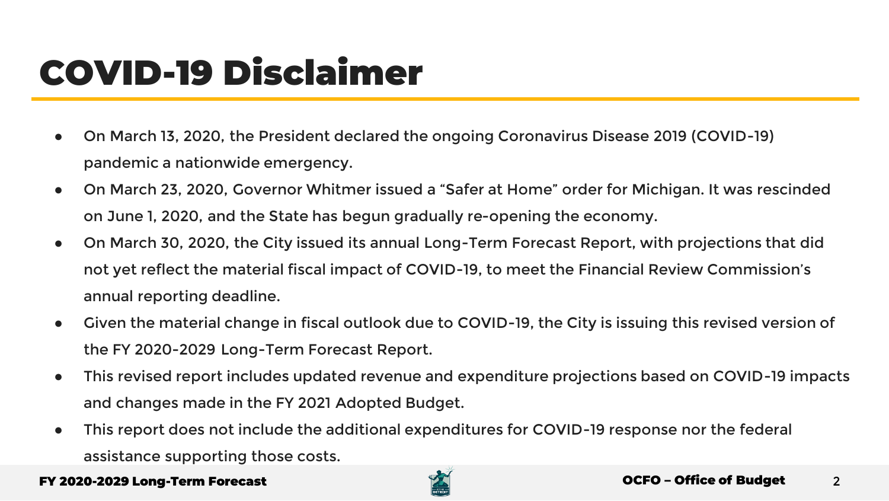### COVID-19 Disclaimer

- On March 13, 2020, the President declared the ongoing Coronavirus Disease 2019 (COVID-19) pandemic a nationwide emergency.
- On March 23, 2020, Governor Whitmer issued a "Safer at Home" order for Michigan. It was rescinded on June 1, 2020, and the State has begun gradually re-opening the economy.
- On March 30, 2020, the City issued its annual Long-Term Forecast Report, with projections that did not yet reflect the material fiscal impact of COVID-19, to meet the Financial Review Commission's annual reporting deadline.
- Given the material change in fiscal outlook due to COVID-19, the City is issuing this revised version of the FY 2020-2029 Long-Term Forecast Report.
- This revised report includes updated revenue and expenditure projections based on COVID-19 impacts and changes made in the FY 2021 Adopted Budget.
- This report does not include the additional expenditures for COVID-19 response nor the federal assistance supporting those costs.

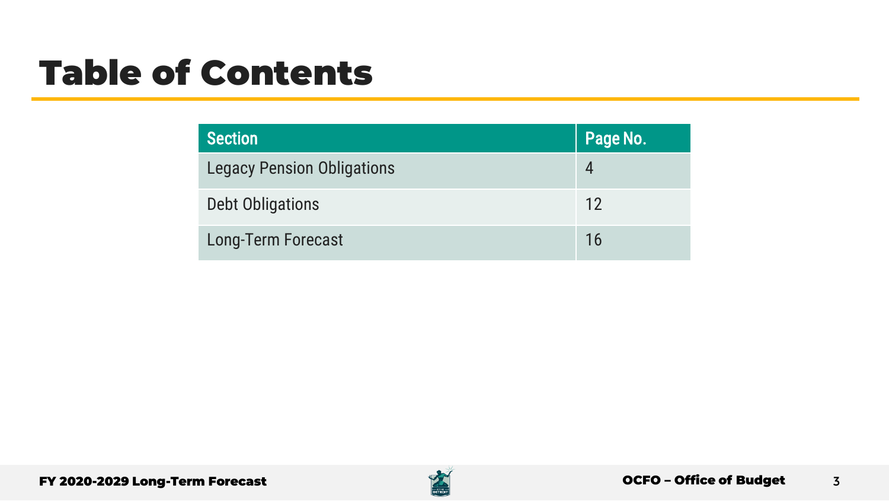### Table of Contents

| <b>Section</b>                    | Page No. |
|-----------------------------------|----------|
| <b>Legacy Pension Obligations</b> |          |
| Debt Obligations                  | 12       |
| <b>Long-Term Forecast</b>         | 16       |

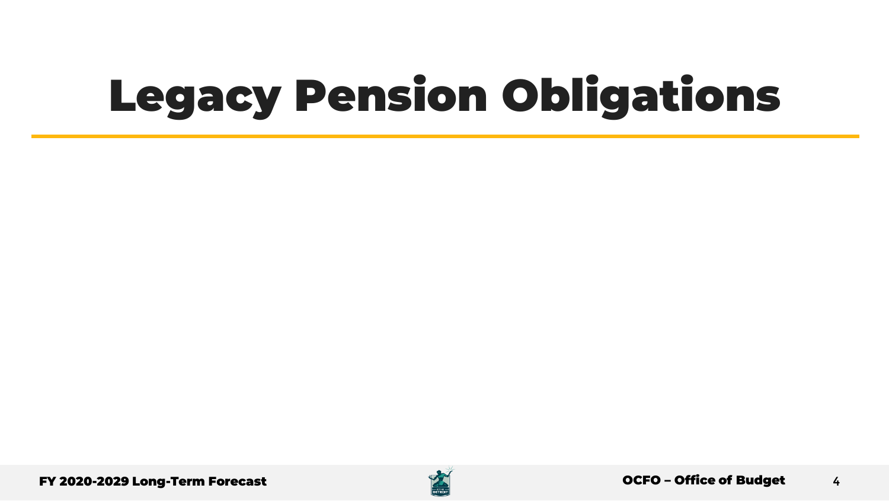# Legacy Pension Obligations



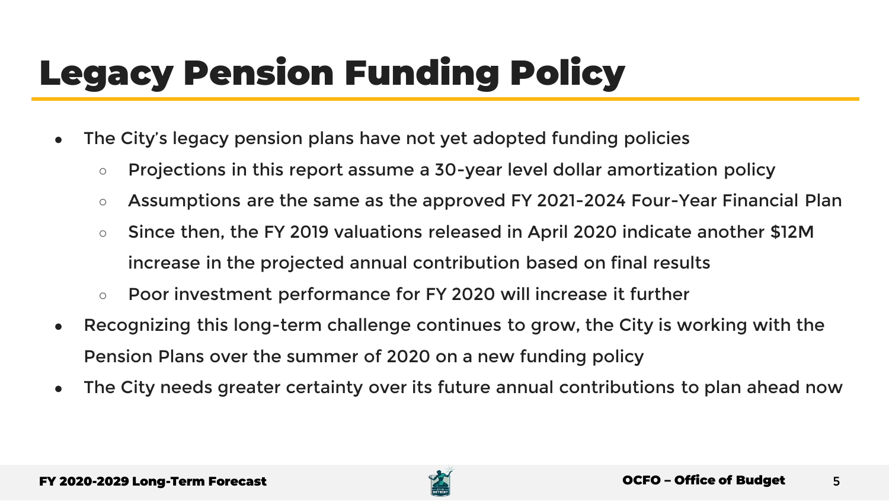## Legacy Pension Funding Policy

- The City's legacy pension plans have not yet adopted funding policies
	- Projections in this report assume a 30-year level dollar amortization policy
	- Assumptions are the same as the approved FY 2021-2024 Four-Year Financial Plan
	- Since then, the FY 2019 valuations released in April 2020 indicate another \$12M increase in the projected annual contribution based on final results
	- Poor investment performance for FY 2020 will increase it further
- Recognizing this long-term challenge continues to grow, the City is working with the Pension Plans over the summer of 2020 on a new funding policy
- The City needs greater certainty over its future annual contributions to plan ahead now

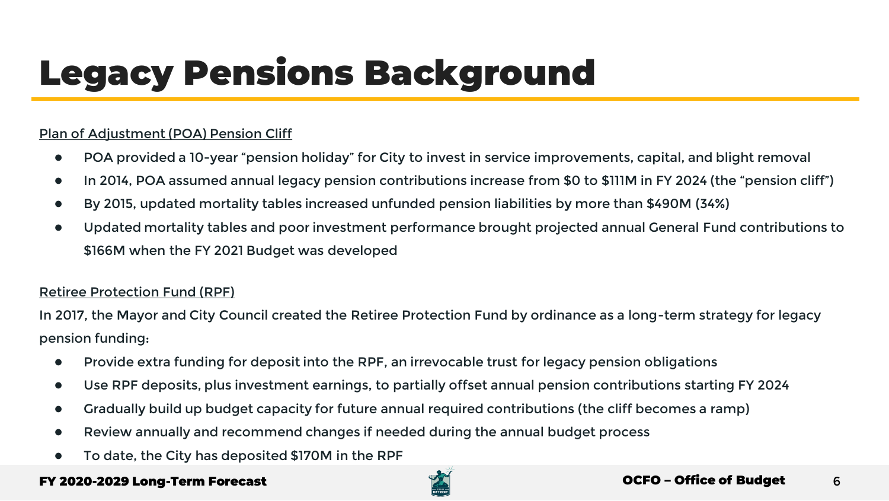## Legacy Pensions Background

#### Plan of Adjustment (POA) Pension Cliff

- POA provided a 10-year "pension holiday" for City to invest in service improvements, capital, and blight removal
- In 2014, POA assumed annual legacy pension contributions increase from \$0 to \$111M in FY 2024 (the "pension cliff")
- By 2015, updated mortality tables increased unfunded pension liabilities by more than \$490M (34%)
- Updated mortality tables and poor investment performance brought projected annual General Fund contributions to \$166M when the FY 2021 Budget was developed

#### Retiree Protection Fund (RPF)

In 2017, the Mayor and City Council created the Retiree Protection Fund by ordinance as a long-term strategy for legacy pension funding:

- Provide extra funding for deposit into the RPF, an irrevocable trust for legacy pension obligations
- Use RPF deposits, plus investment earnings, to partially offset annual pension contributions starting FY 2024
- Gradually build up budget capacity for future annual required contributions (the cliff becomes a ramp)
- Review annually and recommend changes if needed during the annual budget process
- To date, the City has deposited \$170M in the RPF

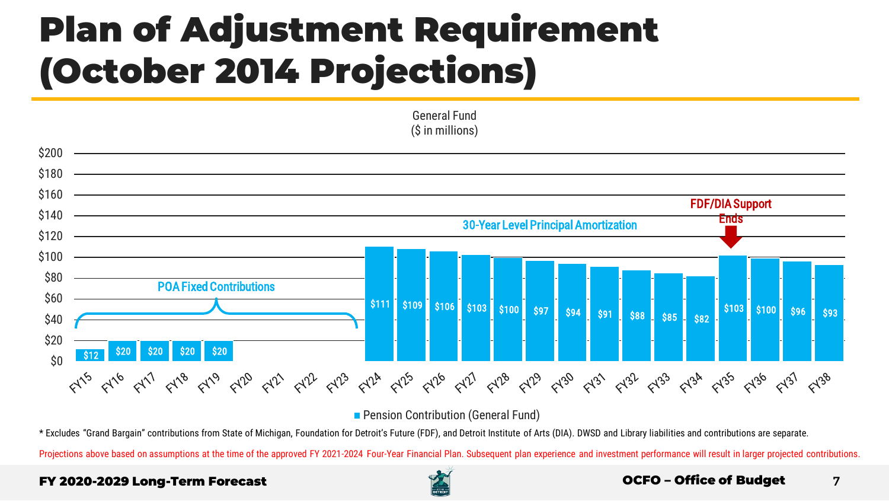### Plan of Adjustment Requirement (October 2014 Projections)



General Fund

**Pension Contribution (General Fund)** 

\* Excludes "Grand Bargain" contributions from State of Michigan, Foundation for Detroit's Future (FDF), and Detroit Institute of Arts (DIA). DWSD and Library liabilities and contributions are separate.

Projections above based on assumptions at the time of the approved FY 2021-2024 Four-Year Financial Plan. Subsequent plan experience and investment performance will result in larger projected contributions.

#### FY 2020-2029 Long-Term Forecast OCFO – Office of Budget



#### 7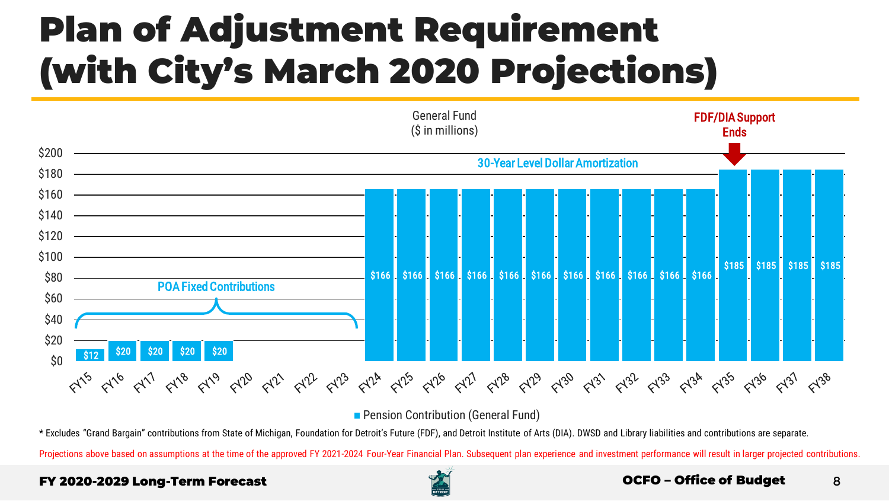### Plan of Adjustment Requirement (with City's March 2020 Projections)



**Pension Contribution (General Fund)** 

\* Excludes "Grand Bargain" contributions from State of Michigan, Foundation for Detroit's Future (FDF), and Detroit Institute of Arts (DIA). DWSD and Library liabilities and contributions are separate.

Projections above based on assumptions at the time of the approved FY 2021-2024 Four-Year Financial Plan. Subsequent plan experience and investment performance will result in larger projected contributions.

#### FY 2020-2029 Long-Term Forecast OCFO – Office of Budget



#### 8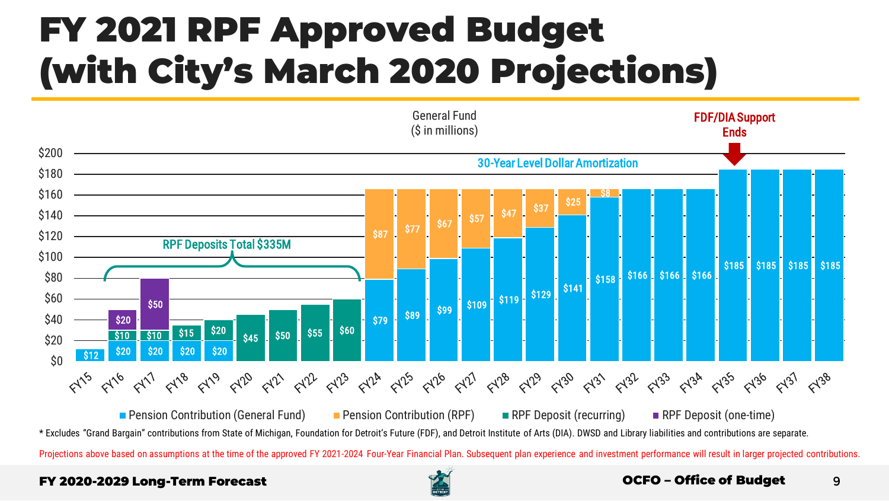### FY 2021 RPF Approved Budget (with City's March 2020 Projections)



\* Excludes "Grand Bargain" contributions from State of Michigan, Foundation for Detroit's Future (FDF), and Detroit Institute of Arts (DIA). DWSD and Library liabilities and contributions are separate.

Projections above based on assumptions at the time of the approved FY 2021-2024 Four-Year Financial Plan. Subsequent plan experience and investment performance will result in larger projected contributions.

#### FY 2020-2029 Long-Term Forecast OCFO – Office of Budget



#### 9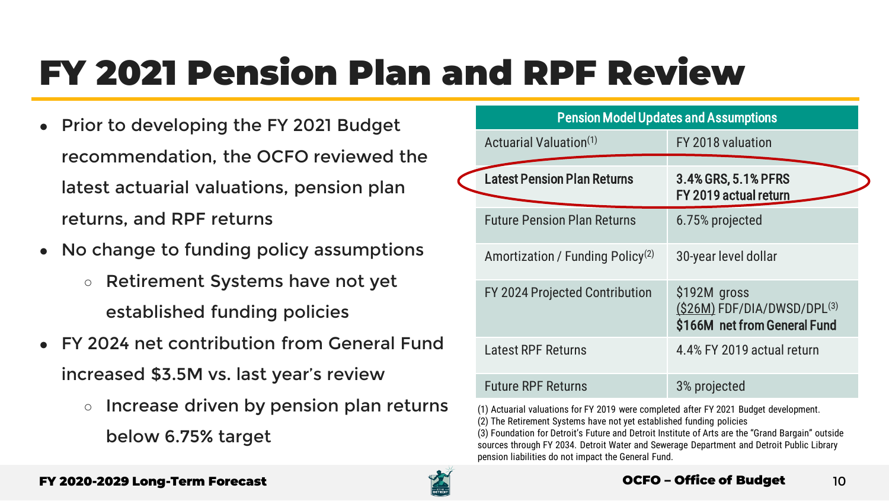### FY 2021 Pension Plan and RPF Review

- Prior to developing the FY 2021 Budget recommendation, the OCFO reviewed the latest actuarial valuations, pension plan returns, and RPF returns
- No change to funding policy assumptions
	- Retirement Systems have not yet established funding policies
- FY 2024 net contribution from General Fund increased \$3.5M vs. last year's review
	- Increase driven by pension plan returns below 6.75% target

| <b>Pension Model Updates and Assumptions</b> |                                                                              |  |
|----------------------------------------------|------------------------------------------------------------------------------|--|
| Actuarial Valuation <sup>(1)</sup>           | FY 2018 valuation                                                            |  |
| <b>Latest Pension Plan Returns</b>           | 3.4% GRS, 5.1% PFRS<br>FY 2019 actual return                                 |  |
| <b>Future Pension Plan Returns</b>           | 6.75% projected                                                              |  |
| Amortization / Funding Policy <sup>(2)</sup> | 30-year level dollar                                                         |  |
| FY 2024 Projected Contribution               | \$192M gross<br>$(S26M)$ FDF/DIA/DWSD/DPL(3)<br>\$166M net from General Fund |  |
| <b>Latest RPF Returns</b>                    | 4.4% FY 2019 actual return                                                   |  |
| <b>Future RPF Returns</b>                    | 3% projected                                                                 |  |

(1) Actuarial valuations for FY 2019 were completed after FY 2021 Budget development. (2) The Retirement Systems have not yet established funding policies

(3) Foundation for Detroit's Future and Detroit Institute of Arts are the "Grand Bargain" outside sources through FY 2034. Detroit Water and Sewerage Department and Detroit Public Library pension liabilities do not impact the General Fund.

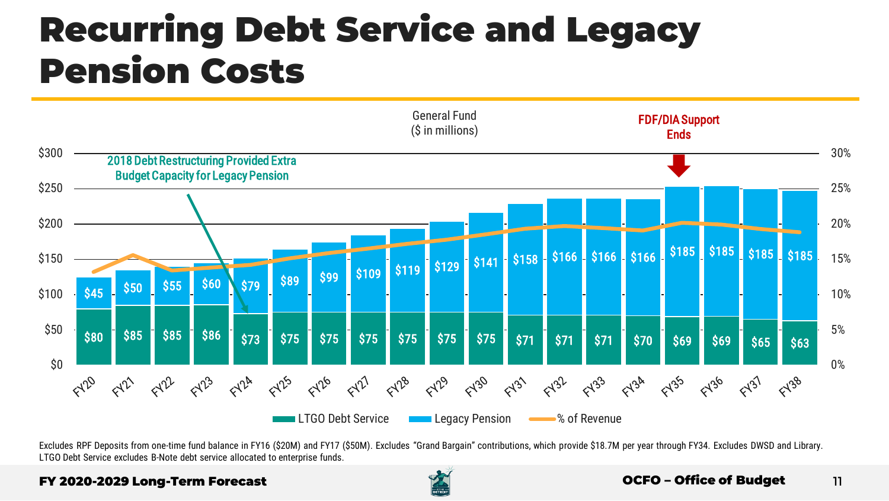### Recurring Debt Service and Legacy Pension Costs



Excludes RPF Deposits from one-time fund balance in FY16 (\$20M) and FY17 (\$50M). Excludes "Grand Bargain" contributions, which provide \$18.7M per year through FY34. Excludes DWSD and Library. LTGO Debt Service excludes B-Note debt service allocated to enterprise funds.

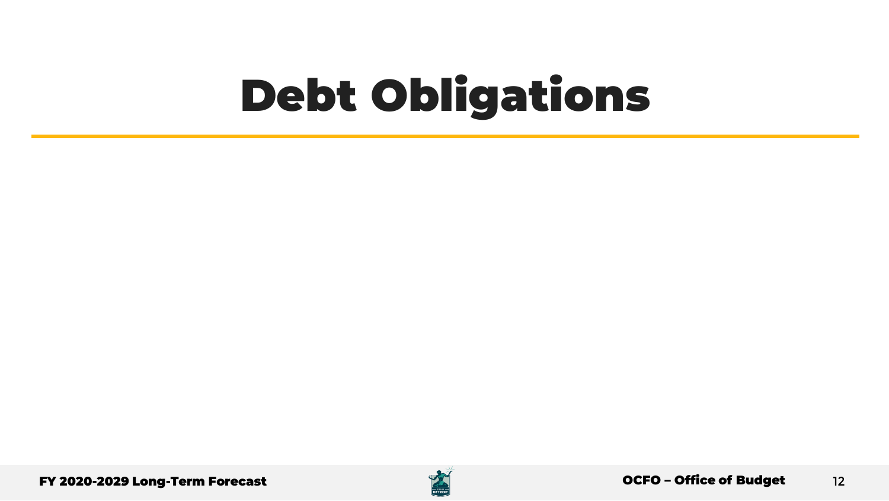# Debt Obligations



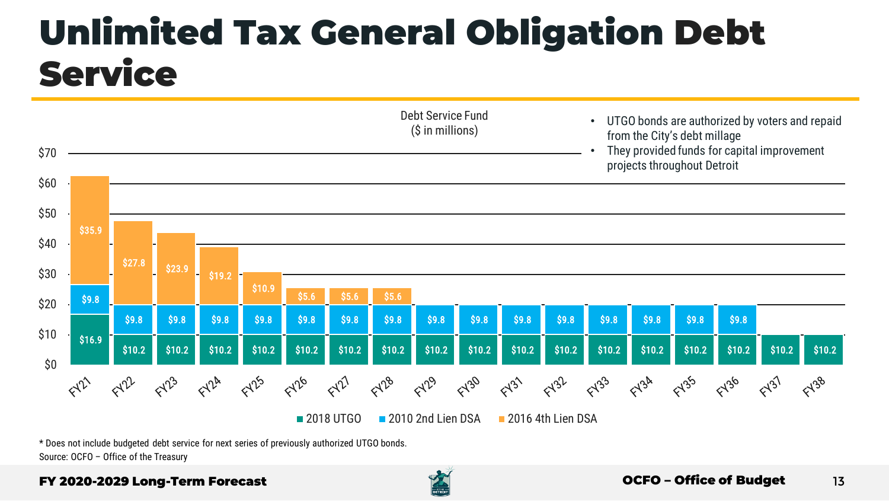### Unlimited Tax General Obligation Debt **Service**



\* Does not include budgeted debt service for next series of previously authorized UTGO bonds. Source: OCFO – Office of the Treasury

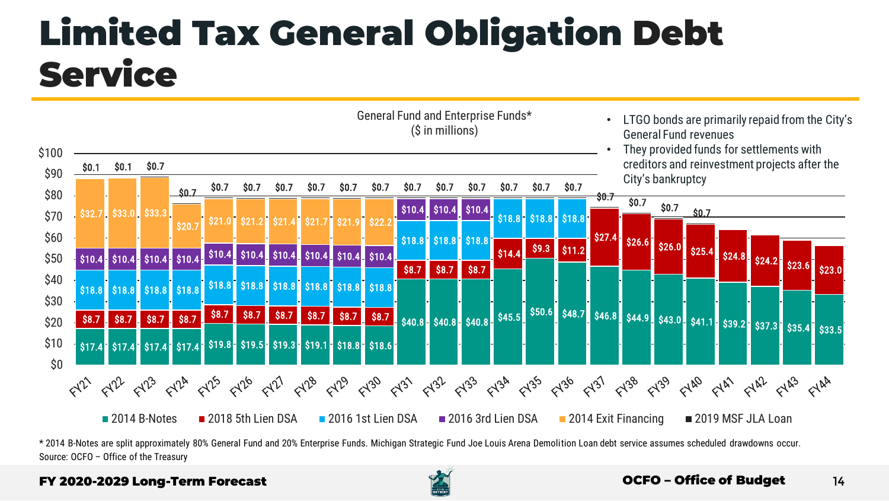### Limited Tax General Obligation Debt **Service**



\* 2014 B-Notes are split approximately 80% General Fund and 20% Enterprise Funds. Michigan Strategic Fund Joe Louis Arena Demolition Loan debt service assumes scheduled drawdowns occur. Source: OCFO – Office of the Treasury

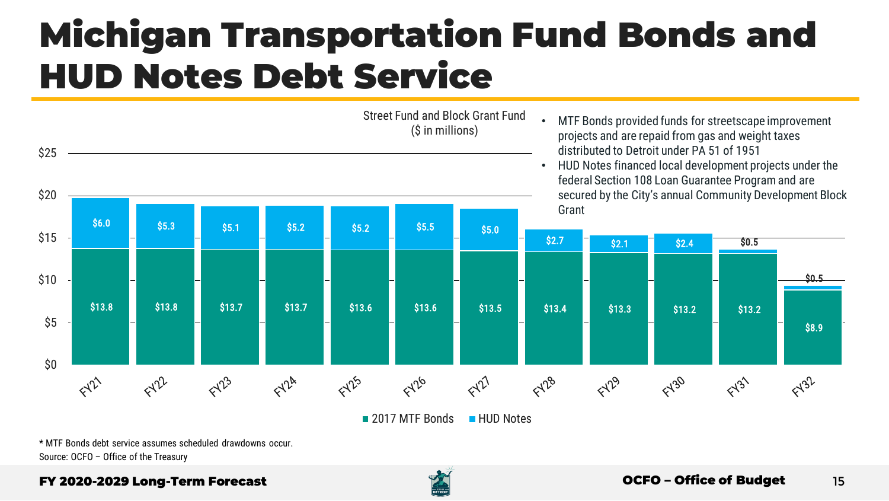### Michigan Transportation Fund Bonds and HUD Notes Debt Service



\* MTF Bonds debt service assumes scheduled drawdowns occur. Source: OCFO – Office of the Treasury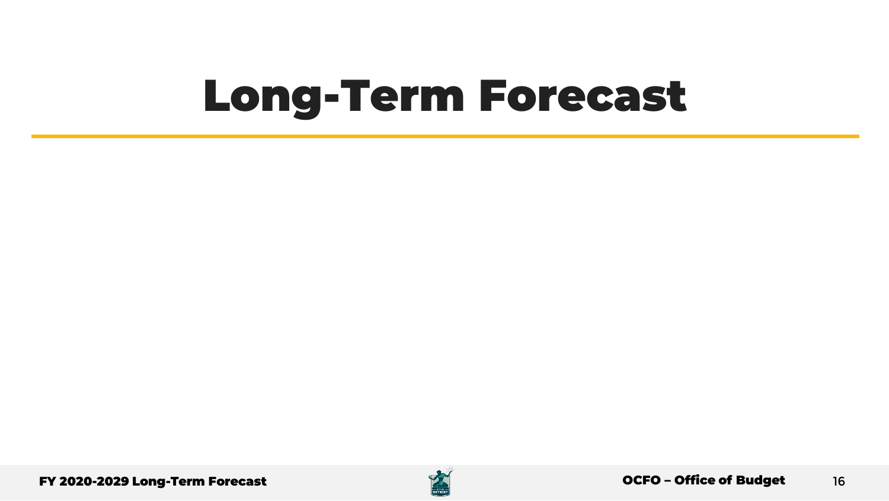# Long-Term Forecast

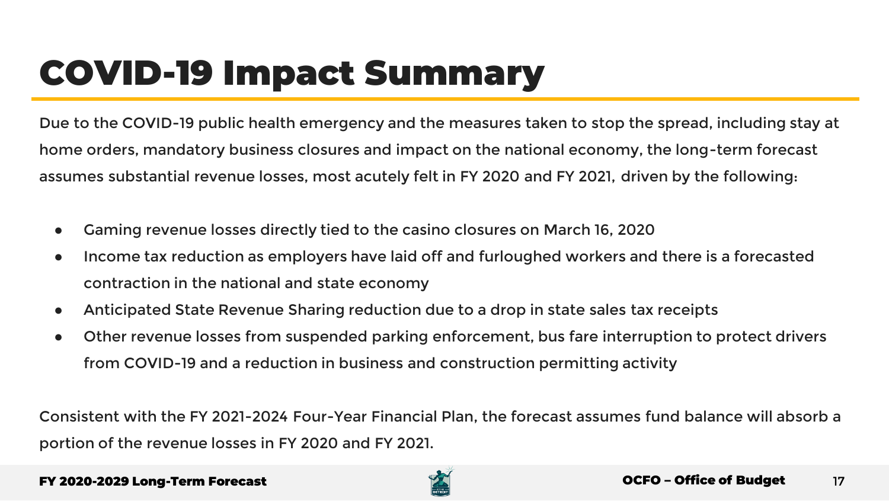### COVID-19 Impact Summary

Due to the COVID-19 public health emergency and the measures taken to stop the spread, including stay at home orders, mandatory business closures and impact on the national economy, the long-term forecast assumes substantial revenue losses, most acutely felt in FY 2020 and FY 2021, driven by the following:

- Gaming revenue losses directly tied to the casino closures on March 16, 2020
- Income tax reduction as employers have laid off and furloughed workers and there is a forecasted contraction in the national and state economy
- Anticipated State Revenue Sharing reduction due to a drop in state sales tax receipts
- Other revenue losses from suspended parking enforcement, bus fare interruption to protect drivers from COVID-19 and a reduction in business and construction permitting activity

Consistent with the FY 2021-2024 Four-Year Financial Plan, the forecast assumes fund balance will absorb a portion of the revenue losses in FY 2020 and FY 2021.

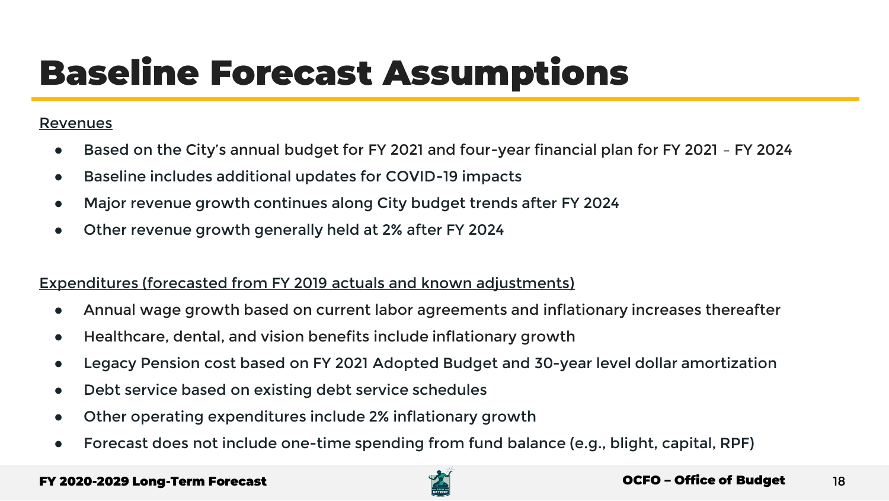### Baseline Forecast Assumptions

#### Revenues

- Based on the City's annual budget for FY 2021 and four-year financial plan for FY 2021 FY 2024
- Baseline includes additional updates for COVID-19 impacts
- Major revenue growth continues along City budget trends after FY 2024
- Other revenue growth generally held at 2% after FY 2024

#### Expenditures (forecasted from FY 2019 actuals and known adjustments)

- Annual wage growth based on current labor agreements and inflationary increases thereafter
- Healthcare, dental, and vision benefits include inflationary growth
- Legacy Pension cost based on FY 2021 Adopted Budget and 30-year level dollar amortization
- Debt service based on existing debt service schedules
- Other operating expenditures include 2% inflationary growth
- Forecast does not include one-time spending from fund balance (e.g., blight, capital, RPF)

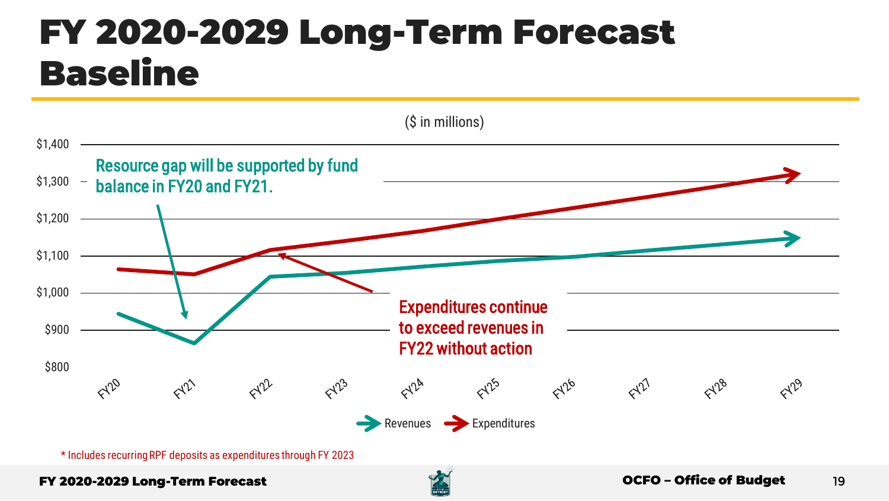### FY 2020-2029 Long-Term Forecast Baseline



\* Includes recurring RPF deposits as expenditures through FY 2023

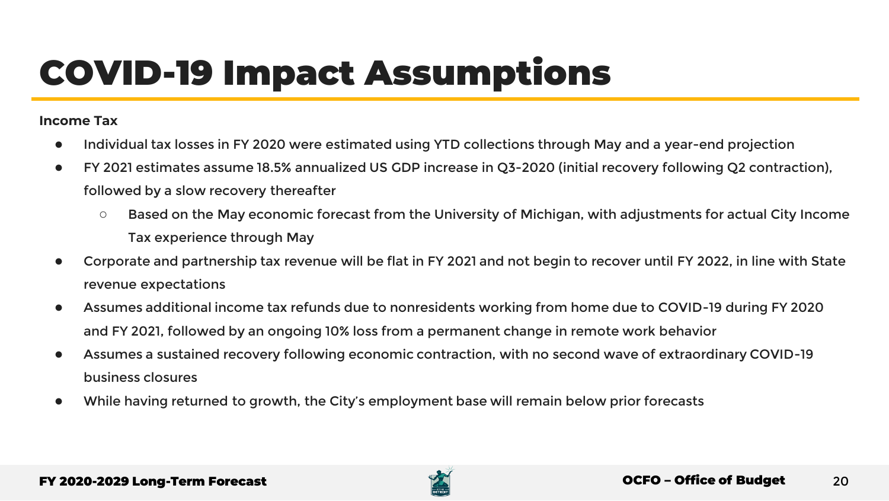### COVID-19 Impact Assumptions

#### **Income Tax**

- Individual tax losses in FY 2020 were estimated using YTD collections through May and a year-end projection
- FY 2021 estimates assume 18.5% annualized US GDP increase in Q3-2020 (initial recovery following Q2 contraction), followed by a slow recovery thereafter
	- Based on the May economic forecast from the University of Michigan, with adjustments for actual City Income Tax experience through May
- Corporate and partnership tax revenue will be flat in FY 2021 and not begin to recover until FY 2022, in line with State revenue expectations
- Assumes additional income tax refunds due to nonresidents working from home due to COVID-19 during FY 2020 and FY 2021, followed by an ongoing 10% loss from a permanent change in remote work behavior
- Assumes a sustained recovery following economic contraction, with no second wave of extraordinary COVID-19 business closures
- While having returned to growth, the City's employment base will remain below prior forecasts

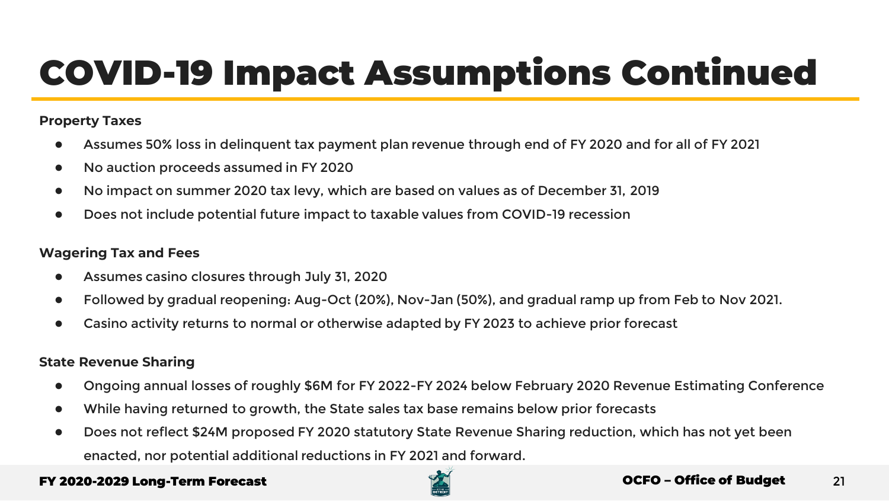### COVID-19 Impact Assumptions Continued

#### **Property Taxes**

- Assumes 50% loss in delinguent tax payment plan revenue through end of FY 2020 and for all of FY 2021
- No auction proceeds assumed in FY 2020
- No impact on summer 2020 tax levy, which are based on values as of December 31, 2019
- Does not include potential future impact to taxable values from COVID-19 recession

#### **Wagering Tax and Fees**

- Assumes casino closures through July 31, 2020
- Followed by gradual reopening: Aug-Oct (20%), Nov-Jan (50%), and gradual ramp up from Feb to Nov 2021.
- Casino activity returns to normal or otherwise adapted by FY 2023 to achieve prior forecast

#### **State Revenue Sharing**

- Ongoing annual losses of roughly \$6M for FY 2022-FY 2024 below February 2020 Revenue Estimating Conference
- While having returned to growth, the State sales tax base remains below prior forecasts
- Does not reflect \$24M proposed FY 2020 statutory State Revenue Sharing reduction, which has not yet been enacted, nor potential additional reductions in FY 2021 and forward.

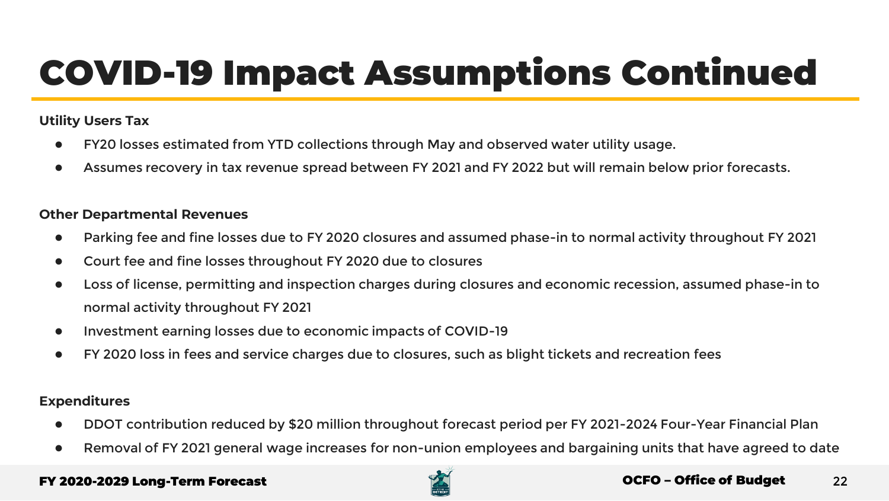### COVID-19 Impact Assumptions Continued

#### **Utility Users Tax**

- FY20 losses estimated from YTD collections through May and observed water utility usage.
- Assumes recovery in tax revenue spread between FY 2021 and FY 2022 but will remain below prior forecasts.

#### **Other Departmental Revenues**

- Parking fee and fine losses due to FY 2020 closures and assumed phase-in to normal activity throughout FY 2021
- Court fee and fine losses throughout FY 2020 due to closures
- Loss of license, permitting and inspection charges during closures and economic recession, assumed phase-in to normal activity throughout FY 2021
- Investment earning losses due to economic impacts of COVID-19
- FY 2020 loss in fees and service charges due to closures, such as blight tickets and recreation fees

#### **Expenditures**

- DDOT contribution reduced by \$20 million throughout forecast period per FY 2021-2024 Four-Year Financial Plan
- Removal of FY 2021 general wage increases for non-union employees and bargaining units that have agreed to date

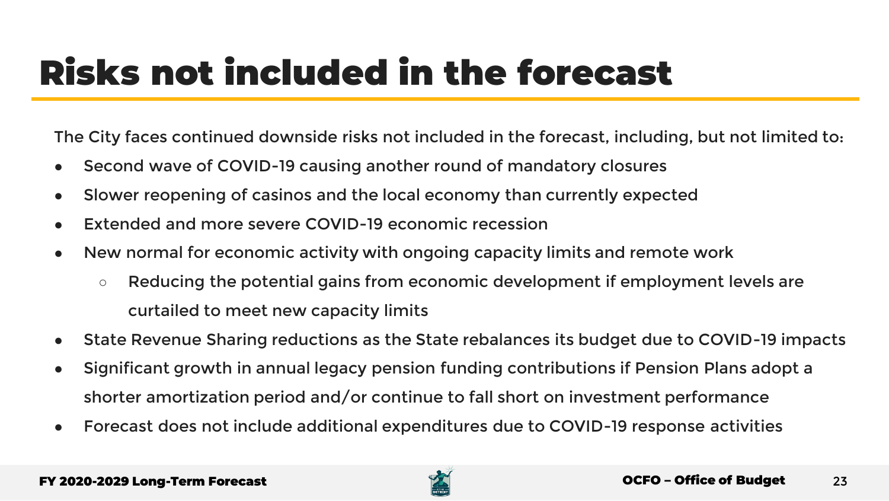### Risks not included in the forecast

The City faces continued downside risks not included in the forecast, including, but not limited to:

- Second wave of COVID-19 causing another round of mandatory closures
- Slower reopening of casinos and the local economy than currently expected
- Extended and more severe COVID-19 economic recession
- New normal for economic activity with ongoing capacity limits and remote work
	- Reducing the potential gains from economic development if employment levels are curtailed to meet new capacity limits
- State Revenue Sharing reductions as the State rebalances its budget due to COVID-19 impacts
- Significant growth in annual legacy pension funding contributions if Pension Plans adopt a shorter amortization period and/or continue to fall short on investment performance
- Forecast does not include additional expenditures due to COVID-19 response activities

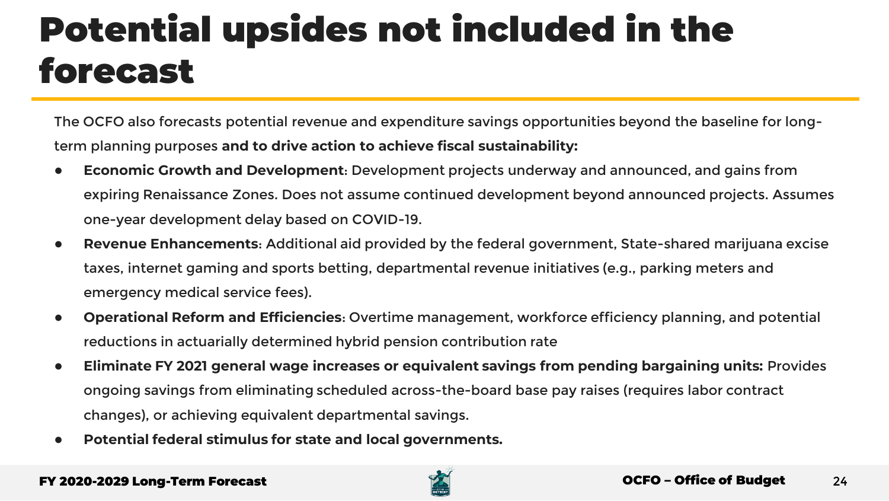### Potential upsides not included in the forecast

The OCFO also forecasts potential revenue and expenditure savings opportunities beyond the baseline for longterm planning purposes **and to drive action to achieve fiscal sustainability:**

- **Economic Growth and Development**: Development projects underway and announced, and gains from expiring Renaissance Zones. Does not assume continued development beyond announced projects. Assumes one-year development delay based on COVID-19.
- **Revenue Enhancements**: Additional aid provided by the federal government, State-shared marijuana excise taxes, internet gaming and sports betting, departmental revenue initiatives (e.g., parking meters and emergency medical service fees).
- **Operational Reform and Efficiencies**: Overtime management, workforce efficiency planning, and potential reductions in actuarially determined hybrid pension contribution rate
- **Eliminate FY 2021 general wage increases or equivalent savings from pending bargaining units:** Provides ongoing savings from eliminating scheduled across-the-board base pay raises (requires labor contract changes), or achieving equivalent departmental savings.
- Potential federal stimulus for state and local governments.